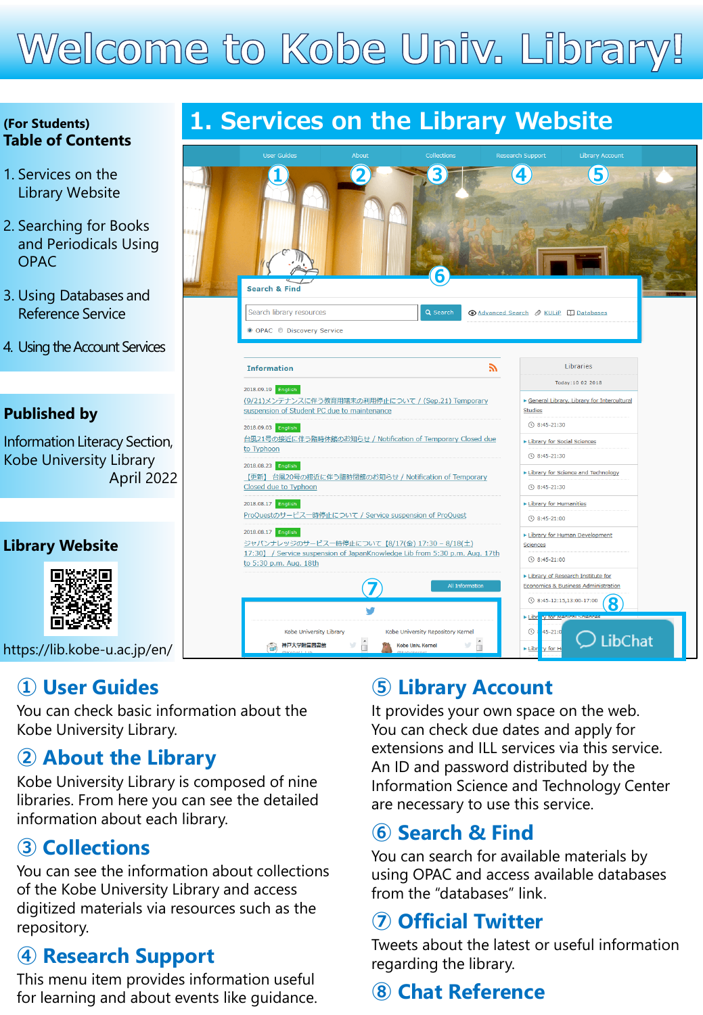# Welcome to Kobe Univ. Library!

#### **(For Students) Table of Contents**

- 1. Services on the Library Website
- 2. Searching for Books and Periodicals Using OPAC
- 3. Using Databases and Reference Service
- 4. Using the Account Services

#### **Published by**

Information Literacy Section, Kobe University Library April 2022

#### **Library Website**



[https://lib.kobe-u.ac.jp/en/](https://lib.kobe-u.ac.jp/en)

# **① User Guides**

You can check basic information about the Kobe University Library.

### **② About the Library**

Kobe University Library is composed of nine libraries. From here you can see the detailed information about each library.

# **③ Collections**

You can see the information about collections of the Kobe University Library and access digitized materials via resources such as the repository.

# **④ Research Support**

This menu item provides information useful for learning and about events like guidance.

# **1. Services on the Library Website**



# **⑤ Library Account**

It provides your own space on the web. You can check due dates and apply for extensions and ILL services via this service. An ID and password distributed by the Information Science and Technology Center are necessary to use this service.

# **⑥ Search & Find**

You can search for available materials by using OPAC and access available databases from the "databases" link.

### **⑦ Official Twitter**

Tweets about the latest or useful information regarding the library.

# **⑧ Chat Reference**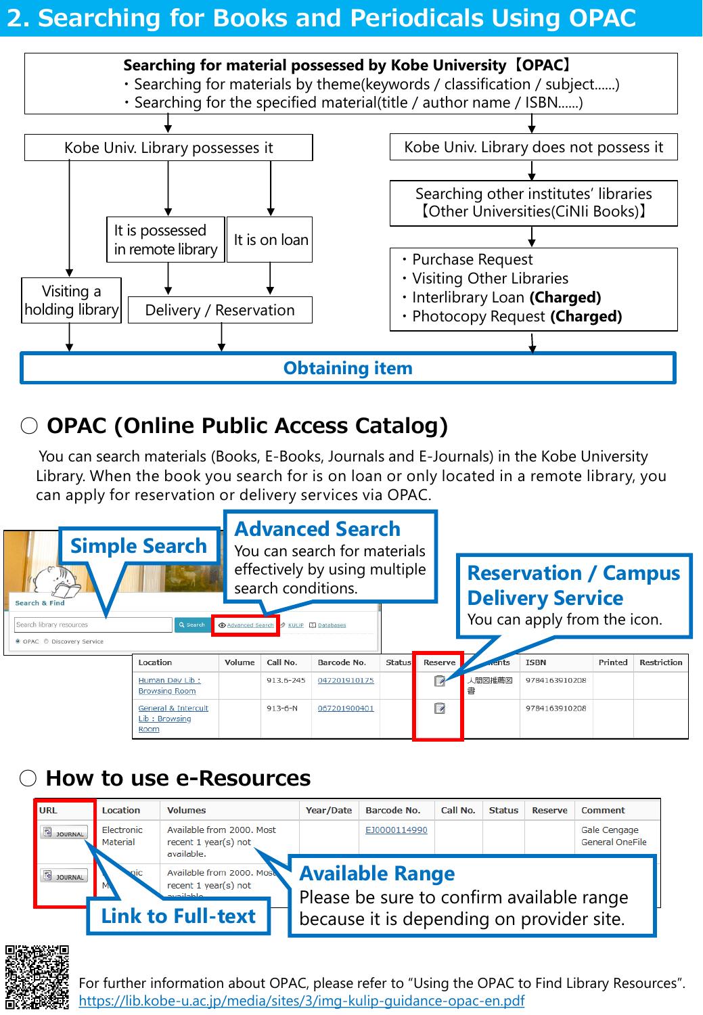# **2. Searching for Books and Periodicals Using OPAC**

#### **Searching for material possessed by Kobe University【OPAC】**

- Searching for materials by theme(keywords / classification / subject......)
- $\cdot$  Searching for the specified material(title / author name / ISBN......)



# ○ **OPAC (Online Public Access Catalog)**

You can search materials (Books, E-Books, Journals and E-Journals) in the Kobe University Library. When the book you search for is on loan or only located in a remote library, you can apply for reservation or delivery services via OPAC.



# ○ **How to use e-Resources**

| URL            | <b>Location</b>        | <b>Volumes</b>                                                        | Year/Date                                                           | <b>Barcode No.</b> | Call No. | <b>Status</b> | <b>Reserve</b> | Comment                                |  |
|----------------|------------------------|-----------------------------------------------------------------------|---------------------------------------------------------------------|--------------------|----------|---------------|----------------|----------------------------------------|--|
| 8 JOURNAL      | Electronic<br>Material | Available from 2000. Most<br>recent 1 year(s) not<br>available.       |                                                                     | EJ0000114990       |          |               |                | Gale Cengage<br><b>General OneFile</b> |  |
| <b>DOURNAL</b> | viic                   | Available from 2000. Mose<br>recent 1 year(s) not<br><b>Standbook</b> | <b>Available Range</b><br>Please be sure to confirm available range |                    |          |               |                |                                        |  |
|                |                        | <b>Link to Full-text</b>                                              | because it is depending on provider site.                           |                    |          |               |                |                                        |  |



[For further information about OPAC, please refer to "Using the OPAC to Find Library Resources".](https://lib.kobe-u.ac.jp/media/sites/3/img-kulip-guidance-opac-en.pdf) https://lib.kobe-u.ac.jp/media/sites/3/img-kulip-guidance-opac-en.pdf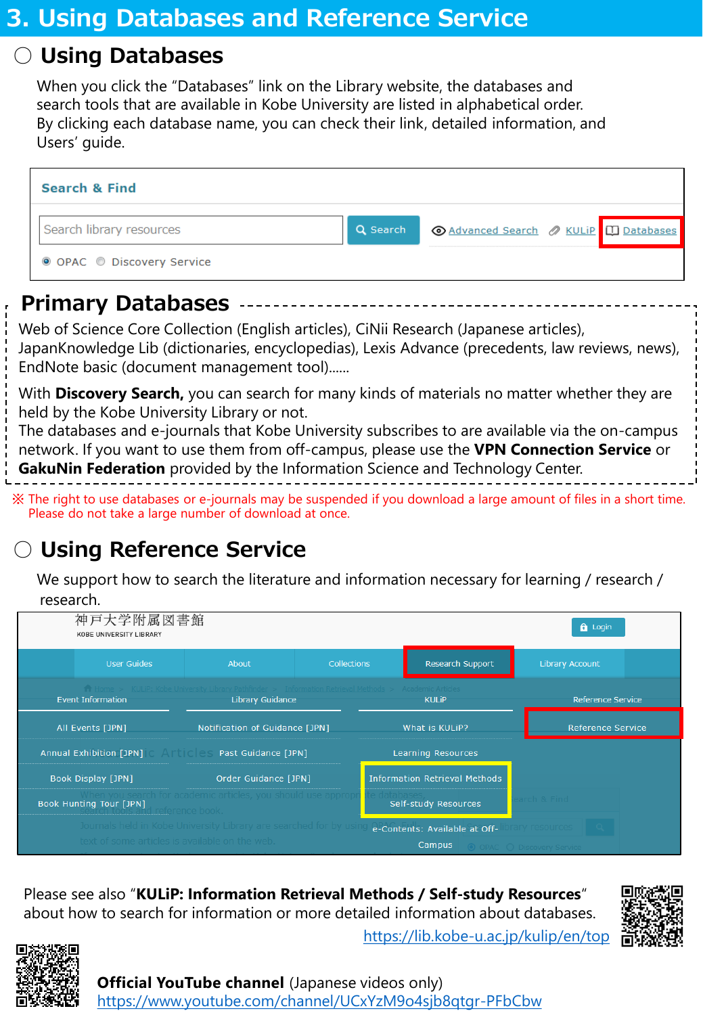# ○ **Using Databases**

When you click the "Databases" link on the Library website, the databases and search tools that are available in Kobe University are listed in alphabetical order. By clicking each database name, you can check their link, detailed information, and Users' guide.

| <b>Search &amp; Find</b>   |          |  |  |  |  |  |  |  |  |  |  |
|----------------------------|----------|--|--|--|--|--|--|--|--|--|--|
| Search library resources   | Q Search |  |  |  |  |  |  |  |  |  |  |
| ● OPAC ● Discovery Service |          |  |  |  |  |  |  |  |  |  |  |

# **Primary Databases**

Web of Science Core Collection (English articles), CiNii Research (Japanese articles), JapanKnowledge Lib (dictionaries, encyclopedias), Lexis Advance (precedents, law reviews, news), EndNote basic (document management tool)......

With **Discovery Search,** you can search for many kinds of materials no matter whether they are held by the Kobe University Library or not.

The databases and e-journals that Kobe University subscribes to are available via the on-campus network. If you want to use them from off-campus, please use the **VPN Connection Service** or **GakuNin Federation** provided by the Information Science and Technology Center.

※ The right to use databases or e-journals may be suspended if you download a large amount of files in a short time. Please do not take a large number of download at once.

# ○ **Using Reference Service**

We support how to search the literature and information necessary for learning / research / research.



Please see also "**KULiP: Information Retrieval Methods / Self-study Resources**" about how to search for information or more detailed information about databases.



[https://lib.kobe-u.ac.jp/kulip/en/top](https://lib.kobe-u.ac.jp/kulip/en/top/)